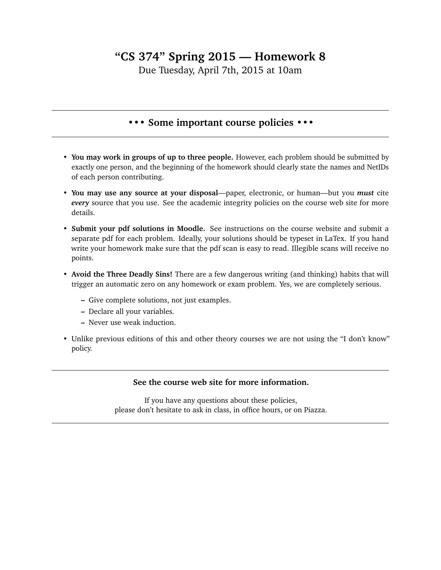## **"CS 374" Spring 2015 — Homework 8**

Due Tuesday, April 7th, 2015 at 10am

## **••• Some important course policies •••**

- **You may work in groups of up to three people.** However, each problem should be submitted by exactly one person, and the beginning of the homework should clearly state the names and NetIDs of each person contributing.
- **You may use any source at your disposal**—paper, electronic, or human—but you *must* cite *every* source that you use. See the academic integrity policies on the course web site for more details.
- **Submit your pdf solutions in Moodle.** See instructions on the course website and submit a separate pdf for each problem. Ideally, your solutions should be typeset in LaTex. If you hand write your homework make sure that the pdf scan is easy to read. Illegible scans will receive no points.
- **Avoid the Three Deadly Sins!** There are a few dangerous writing (and thinking) habits that will trigger an automatic zero on any homework or exam problem. Yes, we are completely serious.
	- **–** Give complete solutions, not just examples.
	- **–** Declare all your variables.
	- **–** Never use weak induction.
- Unlike previous editions of this and other theory courses we are not using the "I don't know" policy.

## **See the course web site for more information.**

If you have any questions about these policies, please don't hesitate to ask in class, in office hours, or on Piazza.